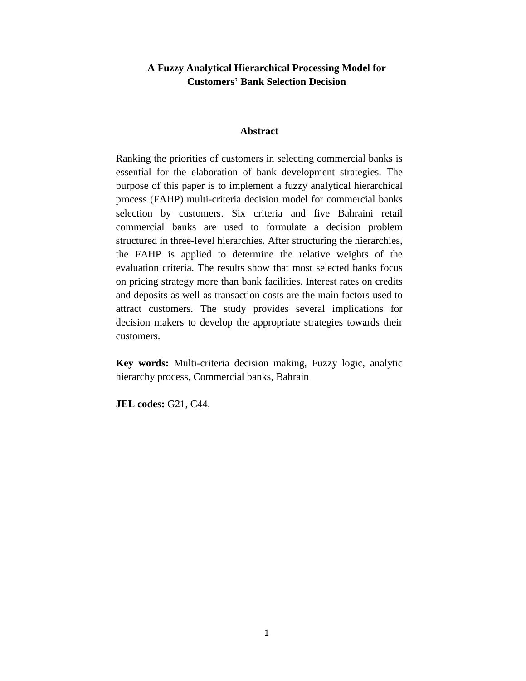## **A Fuzzy Analytical Hierarchical Processing Model for Customers' Bank Selection Decision**

#### **Abstract**

Ranking the priorities of customers in selecting commercial banks is essential for the elaboration of bank development strategies. The purpose of this paper is to implement a fuzzy analytical hierarchical process (FAHP) multi-criteria decision model for commercial banks selection by customers. Six criteria and five Bahraini retail commercial banks are used to formulate a decision problem structured in three-level hierarchies. After structuring the hierarchies, the FAHP is applied to determine the relative weights of the evaluation criteria. The results show that most selected banks focus on pricing strategy more than bank facilities. Interest rates on credits and deposits as well as transaction costs are the main factors used to attract customers. The study provides several implications for decision makers to develop the appropriate strategies towards their customers.

**Key words:** Multi-criteria decision making, Fuzzy logic, analytic hierarchy process, Commercial banks, Bahrain

**JEL codes:** G21, C44.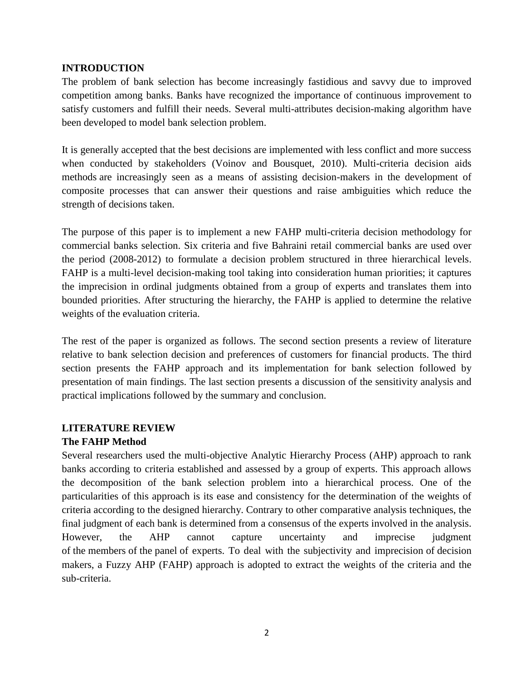## **INTRODUCTION**

The problem of bank selection has become increasingly fastidious and savvy due to improved competition among banks. Banks have recognized the importance of continuous improvement to satisfy customers and fulfill their needs. Several multi-attributes decision-making algorithm have been developed to model bank selection problem.

It is generally accepted that the best decisions are implemented with less conflict and more success when conducted by stakeholders (Voinov and Bousquet, 2010). Multi-criteria decision aids methods are increasingly seen as a means of assisting decision-makers in the development of composite processes that can answer their questions and raise ambiguities which reduce the strength of decisions taken.

The purpose of this paper is to implement a new FAHP multi-criteria decision methodology for commercial banks selection. Six criteria and five Bahraini retail commercial banks are used over the period (2008-2012) to formulate a decision problem structured in three hierarchical levels. FAHP is a multi-level decision-making tool taking into consideration human priorities; it captures the imprecision in ordinal judgments obtained from a group of experts and translates them into bounded priorities. After structuring the hierarchy, the FAHP is applied to determine the relative weights of the evaluation criteria.

The rest of the paper is organized as follows. The second section presents a review of literature relative to bank selection decision and preferences of customers for financial products. The third section presents the FAHP approach and its implementation for bank selection followed by presentation of main findings. The last section presents a discussion of the sensitivity analysis and practical implications followed by the summary and conclusion.

## **LITERATURE REVIEW**

## **The FAHP Method**

Several researchers used the multi-objective Analytic Hierarchy Process (AHP) approach to rank banks according to criteria established and assessed by a group of experts. This approach allows the decomposition of the bank selection problem into a hierarchical process. One of the particularities of this approach is its ease and consistency for the determination of the weights of criteria according to the designed hierarchy. Contrary to other comparative analysis techniques, the final judgment of each bank is determined from a consensus of the experts involved in the analysis. However, the AHP cannot capture uncertainty and imprecise judgment of the members of the panel of experts. To deal with the subjectivity and imprecision of decision makers, a Fuzzy AHP (FAHP) approach is adopted to extract the weights of the criteria and the sub-criteria.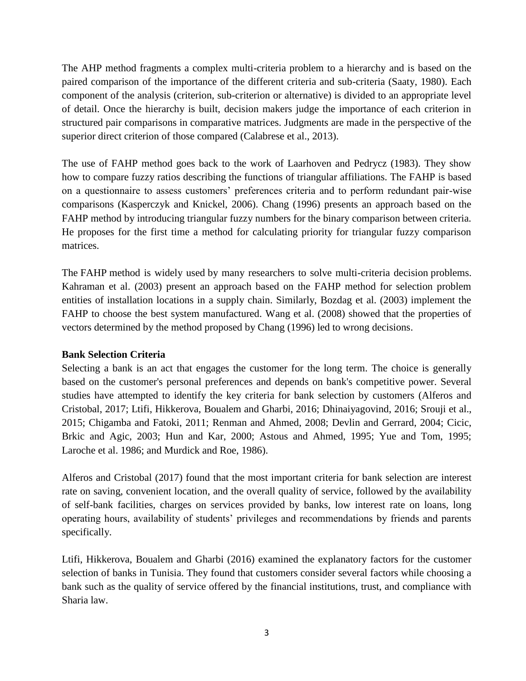The AHP method fragments a complex multi-criteria problem to a hierarchy and is based on the paired comparison of the importance of the different criteria and sub-criteria (Saaty, 1980). Each component of the analysis (criterion, sub-criterion or alternative) is divided to an appropriate level of detail. Once the hierarchy is built, decision makers judge the importance of each criterion in structured pair comparisons in comparative matrices. Judgments are made in the perspective of the superior direct criterion of those compared (Calabrese et al., 2013).

The use of FAHP method goes back to the work of Laarhoven and Pedrycz (1983). They show how to compare fuzzy ratios describing the functions of triangular affiliations. The FAHP is based on a questionnaire to assess customers' preferences criteria and to perform redundant pair-wise comparisons (Kasperczyk and Knickel, 2006). Chang (1996) presents an approach based on the FAHP method by introducing triangular fuzzy numbers for the binary comparison between criteria. He proposes for the first time a method for calculating priority for triangular fuzzy comparison matrices.

The FAHP method is widely used by many researchers to solve multi-criteria decision problems. Kahraman et al. (2003) present an approach based on the FAHP method for selection problem entities of installation locations in a supply chain. Similarly, Bozdag et al. (2003) implement the FAHP to choose the best system manufactured. Wang et al. (2008) showed that the properties of vectors determined by the method proposed by Chang (1996) led to wrong decisions.

## **Bank Selection Criteria**

Selecting a bank is an act that engages the customer for the long term. The choice is generally based on the customer's personal preferences and depends on bank's competitive power. Several studies have attempted to identify the key criteria for bank selection by customers (Alferos and Cristobal, 2017; Ltifi, Hikkerova, Boualem and Gharbi, 2016; Dhinaiyagovind, 2016; Srouji et al., 2015; Chigamba and Fatoki, 2011; Renman and Ahmed, 2008; Devlin and Gerrard, 2004; Cicic, Brkic and Agic, 2003; Hun and Kar, 2000; Astous and Ahmed, 1995; Yue and Tom, 1995; Laroche et al. 1986; and Murdick and Roe, 1986).

Alferos and Cristobal (2017) found that the most important criteria for bank selection are interest rate on saving, convenient location, and the overall quality of service, followed by the availability of self-bank facilities, charges on services provided by banks, low interest rate on loans, long operating hours, availability of students' privileges and recommendations by friends and parents specifically.

Ltifi, Hikkerova, Boualem and Gharbi (2016) examined the explanatory factors for the customer selection of banks in Tunisia. They found that customers consider several factors while choosing a bank such as the quality of service offered by the financial institutions, trust, and compliance with Sharia law.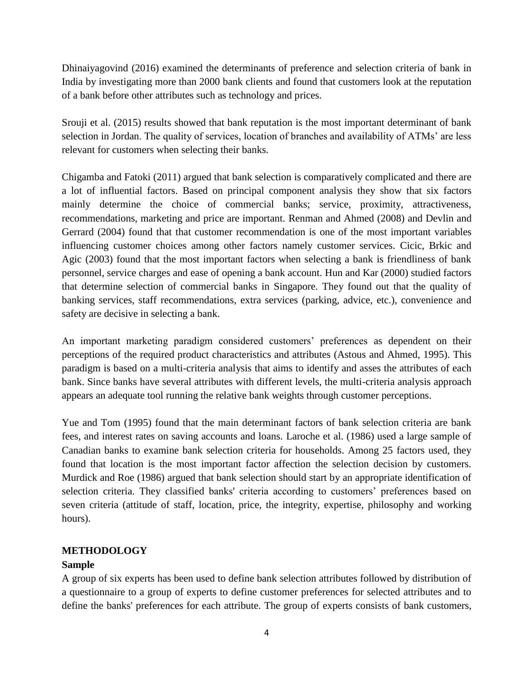Dhinaiyagovind (2016) examined the determinants of preference and selection criteria of bank in India by investigating more than 2000 bank clients and found that customers look at the reputation of a bank before other attributes such as technology and prices.

Srouji et al. (2015) results showed that bank reputation is the most important determinant of bank selection in Jordan. The quality of services, location of branches and availability of ATMs' are less relevant for customers when selecting their banks.

Chigamba and Fatoki (2011) argued that bank selection is comparatively complicated and there are a lot of influential factors. Based on principal component analysis they show that six factors mainly determine the choice of commercial banks; service, proximity, attractiveness, recommendations, marketing and price are important. Renman and Ahmed (2008) and Devlin and Gerrard (2004) found that that customer recommendation is one of the most important variables influencing customer choices among other factors namely customer services. Cicic, Brkic and Agic (2003) found that the most important factors when selecting a bank is friendliness of bank personnel, service charges and ease of opening a bank account. Hun and Kar (2000) studied factors that determine selection of commercial banks in Singapore. They found out that the quality of banking services, staff recommendations, extra services (parking, advice, etc.), convenience and safety are decisive in selecting a bank.

An important marketing paradigm considered customers' preferences as dependent on their perceptions of the required product characteristics and attributes (Astous and Ahmed, 1995). This paradigm is based on a multi-criteria analysis that aims to identify and asses the attributes of each bank. Since banks have several attributes with different levels, the multi-criteria analysis approach appears an adequate tool running the relative bank weights through customer perceptions.

Yue and Tom (1995) found that the main determinant factors of bank selection criteria are bank fees, and interest rates on saving accounts and loans. Laroche et al. (1986) used a large sample of Canadian banks to examine bank selection criteria for households. Among 25 factors used, they found that location is the most important factor affection the selection decision by customers. Murdick and Roe (1986) argued that bank selection should start by an appropriate identification of selection criteria. They classified banks' criteria according to customers' preferences based on seven criteria (attitude of staff, location, price, the integrity, expertise, philosophy and working hours).

## **METHODOLOGY**

## **Sample**

A group of six experts has been used to define bank selection attributes followed by distribution of a questionnaire to a group of experts to define customer preferences for selected attributes and to define the banks' preferences for each attribute. The group of experts consists of bank customers,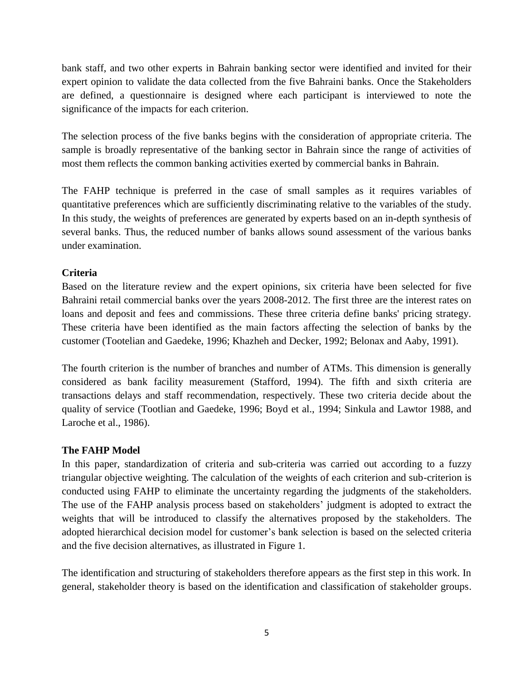bank staff, and two other experts in Bahrain banking sector were identified and invited for their expert opinion to validate the data collected from the five Bahraini banks. Once the Stakeholders are defined, a questionnaire is designed where each participant is interviewed to note the significance of the impacts for each criterion.

The selection process of the five banks begins with the consideration of appropriate criteria. The sample is broadly representative of the banking sector in Bahrain since the range of activities of most them reflects the common banking activities exerted by commercial banks in Bahrain.

The FAHP technique is preferred in the case of small samples as it requires variables of quantitative preferences which are sufficiently discriminating relative to the variables of the study. In this study, the weights of preferences are generated by experts based on an in-depth synthesis of several banks. Thus, the reduced number of banks allows sound assessment of the various banks under examination.

## **Criteria**

Based on the literature review and the expert opinions, six criteria have been selected for five Bahraini retail commercial banks over the years 2008-2012. The first three are the interest rates on loans and deposit and fees and commissions. These three criteria define banks' pricing strategy. These criteria have been identified as the main factors affecting the selection of banks by the customer (Tootelian and Gaedeke, 1996; Khazheh and Decker, 1992; Belonax and Aaby, 1991).

The fourth criterion is the number of branches and number of ATMs. This dimension is generally considered as bank facility measurement (Stafford, 1994). The fifth and sixth criteria are transactions delays and staff recommendation, respectively. These two criteria decide about the quality of service (Tootlian and Gaedeke, 1996; Boyd et al., 1994; Sinkula and Lawtor 1988, and Laroche et al., 1986).

## **The FAHP Model**

In this paper, standardization of criteria and sub-criteria was carried out according to a fuzzy triangular objective weighting. The calculation of the weights of each criterion and sub-criterion is conducted using FAHP to eliminate the uncertainty regarding the judgments of the stakeholders. The use of the FAHP analysis process based on stakeholders' judgment is adopted to extract the weights that will be introduced to classify the alternatives proposed by the stakeholders. The adopted hierarchical decision model for customer's bank selection is based on the selected criteria and the five decision alternatives, as illustrated in Figure 1.

The identification and structuring of stakeholders therefore appears as the first step in this work. In general, stakeholder theory is based on the identification and classification of stakeholder groups.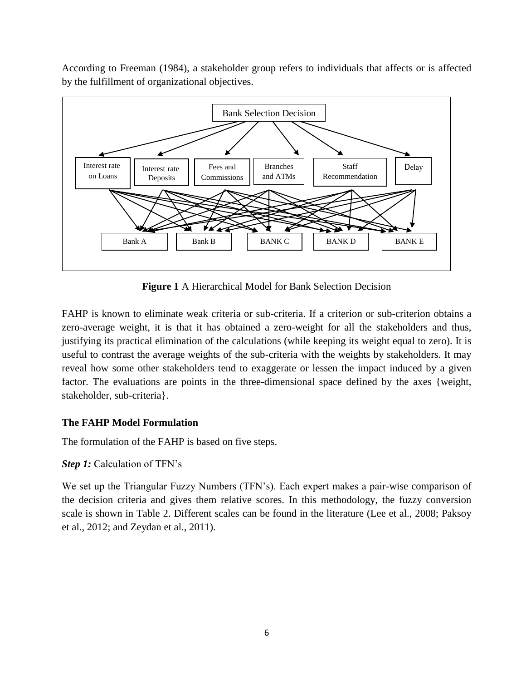According to Freeman (1984), a stakeholder group refers to individuals that affects or is affected by the fulfillment of organizational objectives.



**Figure 1** A Hierarchical Model for Bank Selection Decision

FAHP is known to eliminate weak criteria or sub-criteria. If a criterion or sub-criterion obtains a zero-average weight, it is that it has obtained a zero-weight for all the stakeholders and thus, justifying its practical elimination of the calculations (while keeping its weight equal to zero). It is useful to contrast the average weights of the sub-criteria with the weights by stakeholders. It may reveal how some other stakeholders tend to exaggerate or lessen the impact induced by a given factor. The evaluations are points in the three-dimensional space defined by the axes {weight, stakeholder, sub-criteria}.

# **The FAHP Model Formulation**

The formulation of the FAHP is based on five steps.

*Step 1:* Calculation of TFN's

We set up the Triangular Fuzzy Numbers (TFN's). Each expert makes a pair-wise comparison of the decision criteria and gives them relative scores. In this methodology, the fuzzy conversion scale is shown in Table 2. Different scales can be found in the literature (Lee et al., 2008; Paksoy et al., 2012; and Zeydan et al., 2011).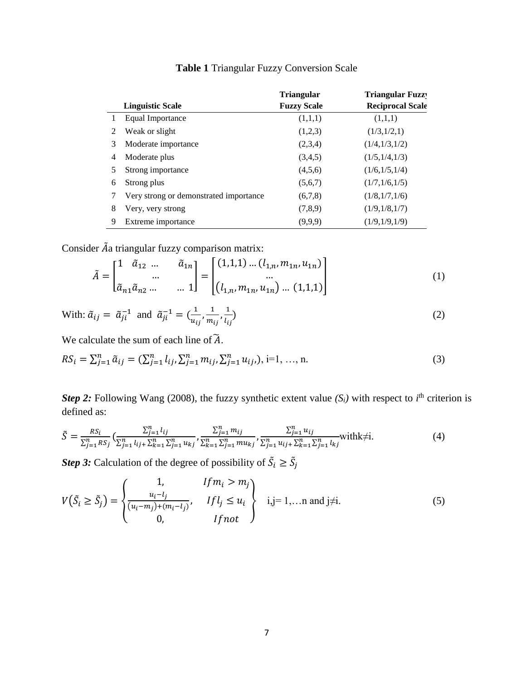|   |                                        | <b>Triangular</b>  | <b>Triangular Fuzzy</b> |
|---|----------------------------------------|--------------------|-------------------------|
|   | <b>Linguistic Scale</b>                | <b>Fuzzy Scale</b> | <b>Reciprocal Scale</b> |
|   | Equal Importance                       | (1,1,1)            | (1,1,1)                 |
| 2 | Weak or slight                         | (1,2,3)            | (1/3,1/2,1)             |
| 3 | Moderate importance                    | (2,3,4)            | (1/4,1/3,1/2)           |
| 4 | Moderate plus                          | (3,4,5)            | (1/5,1/4,1/3)           |
| 5 | Strong importance                      | (4,5,6)            | (1/6, 1/5, 1/4)         |
| 6 | Strong plus                            | (5,6,7)            | (1/7,1/6,1/5)           |
|   | Very strong or demonstrated importance | (6,7,8)            | (1/8,1/7,1/6)           |
| 8 | Very, very strong                      | (7,8,9)            | (1/9,1/8,1/7)           |
| 9 | Extreme importance                     | (9,9,9)            | (1/9,1/9,1/9)           |

**Table 1** Triangular Fuzzy Conversion Scale

Consider  $ilde{A}$ a triangular fuzzy comparison matrix:

$$
\tilde{A} = \begin{bmatrix} 1 & \tilde{a}_{12} & \dots & \tilde{a}_{1n} \\ \dots & \dots & \dots \\ \tilde{a}_{n1} \tilde{a}_{n2} & \dots & \dots & 1 \end{bmatrix} = \begin{bmatrix} (1,1,1) & \dots & (l_{1,n}, m_{1n}, u_{1n}) \\ \dots & \dots & \dots \\ (l_{1,n}, m_{1n}, u_{1n}) & \dots & (1,1,1) \end{bmatrix}
$$
(1)

With: 
$$
\tilde{a}_{ij} = \tilde{a}_{ji}^{-1}
$$
 and  $\tilde{a}_{ji}^{-1} = (\frac{1}{u_{ij}}, \frac{1}{m_{ij}}, \frac{1}{l_{ij}})$  (2)

We calculate the sum of each line of  $\widetilde{A}$ .

$$
RS_i = \sum_{j=1}^n \tilde{a}_{ij} = (\sum_{j=1}^n l_{ij}, \sum_{j=1}^n m_{ij}, \sum_{j=1}^n u_{ij}), \quad i=1, \ldots, n.
$$
 (3)

*Step 2:* Following Wang (2008), the fuzzy synthetic extent value  $(S_i)$  with respect to *i*<sup>th</sup> criterion is defined as:

$$
\tilde{S} = \frac{RS_i}{\sum_{j=1}^n RS_j} \left( \frac{\sum_{j=1}^n l_{ij}}{\sum_{j=1}^n l_{ij} + \sum_{k=1}^n \sum_{j=1}^n u_{kj}}, \frac{\sum_{j=1}^n m_{ij}}{\sum_{k=1}^n \sum_{j=1}^n m u_{kj}}, \frac{\sum_{j=1}^n u_{ij}}{\sum_{j=1}^n u_{ij} + \sum_{k=1}^n \sum_{j=1}^n l_{kj}} \right)
$$
\n
$$
(4)
$$

*Step 3:* Calculation of the degree of possibility of  $\tilde{S}_i \ge \tilde{S}_j$ 

$$
V(\tilde{S}_i \ge \tilde{S}_j) = \begin{cases} 1, & If m_i > m_j \\ \frac{u_i - l_j}{(u_i - m_j) + (m_i - l_j)}, & If l_j \le u_i \\ 0, & If not \end{cases} \quad i,j = 1,... \text{ and } j \ne i. \tag{5}
$$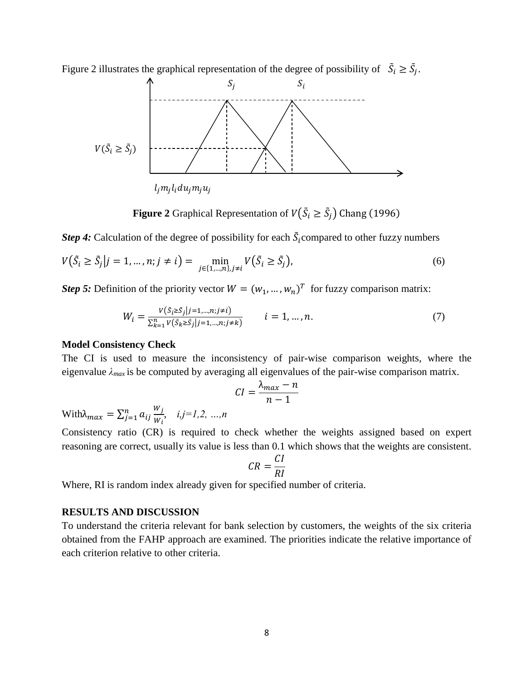Figure 2 illustrates the graphical representation of the degree of possibility of  $\tilde{S}_i \geq \tilde{S}_j$ .



**Figure 2** Graphical Representation of  $V(\tilde{S}_i \geq \tilde{S}_j)$  Chang (1996)

*Step 4*: Calculation of the degree of possibility for each  $\tilde{S}_i$  compared to other fuzzy numbers

$$
V(\tilde{S}_i \ge \tilde{S}_j | j = 1, ..., n; j \ne i) = \min_{j \in \{1, ..., n\}, j \ne i} V(\tilde{S}_i \ge \tilde{S}_j),
$$
\n(6)

*Step 5:* Definition of the priority vector  $W = (w_1, ..., w_n)^T$  for fuzzy comparison matrix:

$$
W_i = \frac{V(\tilde{S}_i \ge \tilde{S}_j | j=1,...,n; j \neq i)}{\sum_{k=1}^n V(\tilde{S}_k \ge \tilde{S}_j | j=1,...,n; j \neq k)} \qquad i=1,...,n.
$$
\n(7)

#### **Model Consistency Check**

The CI is used to measure the inconsistency of pair-wise comparison weights, where the eigenvalue *λmax* is be computed by averaging all eigenvalues of the pair-wise comparison matrix.

$$
CI = \frac{\lambda_{max} - n}{n - 1}
$$

With $\lambda_{max} = \sum_{j=1}^n a_{ij} \frac{W_j}{W_j}$  $W_i$  $\sum_{j=1}^{n} a_{ij} \frac{w_j}{w_i}$ ,  $i,j=1,2, ..., n$ 

Consistency ratio (CR) is required to check whether the weights assigned based on expert reasoning are correct, usually its value is less than 0.1 which shows that the weights are consistent.

$$
CR = \frac{CI}{RI}
$$

Where, RI is random index already given for specified number of criteria.

## **RESULTS AND DISCUSSION**

To understand the criteria relevant for bank selection by customers, the weights of the six criteria obtained from the FAHP approach are examined. The priorities indicate the relative importance of each criterion relative to other criteria.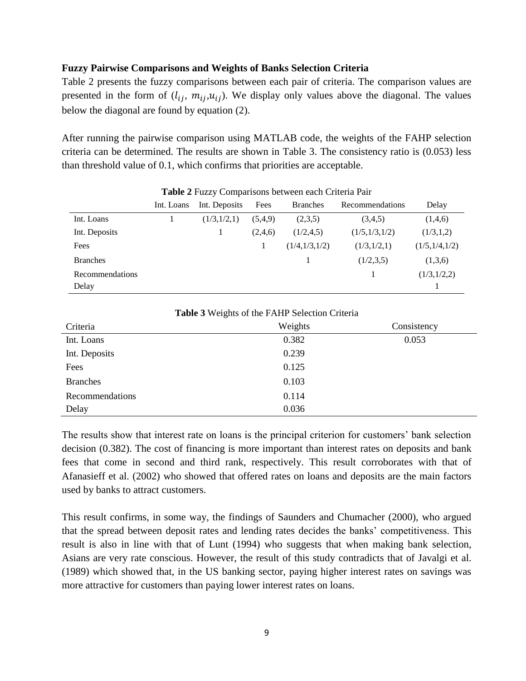## **Fuzzy Pairwise Comparisons and Weights of Banks Selection Criteria**

Table 2 presents the fuzzy comparisons between each pair of criteria. The comparison values are presented in the form of  $(l_{ij}, m_{ij}, u_{ij})$ . We display only values above the diagonal. The values below the diagonal are found by equation (2).

After running the pairwise comparison using MATLAB code, the weights of the FAHP selection criteria can be determined. The results are shown in Table 3. The consistency ratio is (0.053) less than threshold value of 0.1, which confirms that priorities are acceptable.

|                 | $\frac{1}{2}$ and $\frac{1}{2}$ and $\frac{1}{2}$ comparisons between each enternal and |               |         |                 |                 |                 |  |
|-----------------|-----------------------------------------------------------------------------------------|---------------|---------|-----------------|-----------------|-----------------|--|
|                 | Int. Loans                                                                              | Int. Deposits | Fees    | <b>Branches</b> | Recommendations | Delay           |  |
| Int. Loans      |                                                                                         | (1/3,1/2,1)   | (5,4,9) | (2,3,5)         | (3,4,5)         | (1,4,6)         |  |
| Int. Deposits   |                                                                                         |               | (2,4,6) | (1/2, 4, 5)     | (1/5,1/3,1/2)   | (1/3,1,2)       |  |
| Fees            |                                                                                         |               |         | (1/4,1/3,1/2)   | (1/3,1/2,1)     | (1/5, 1/4, 1/2) |  |
| <b>Branches</b> |                                                                                         |               |         |                 | (1/2,3,5)       | (1,3,6)         |  |
| Recommendations |                                                                                         |               |         |                 |                 | (1/3,1/2,2)     |  |
| Delay           |                                                                                         |               |         |                 |                 |                 |  |

**Table 2** Fuzzy Comparisons between each Criteria Pair

| Table 3 Weights of the FAHP Selection Criteria |         |             |  |  |  |  |
|------------------------------------------------|---------|-------------|--|--|--|--|
| Criteria                                       | Weights | Consistency |  |  |  |  |
| Int. Loans                                     | 0.382   | 0.053       |  |  |  |  |
| Int. Deposits                                  | 0.239   |             |  |  |  |  |
| Fees                                           | 0.125   |             |  |  |  |  |
| <b>Branches</b>                                | 0.103   |             |  |  |  |  |
| Recommendations                                | 0.114   |             |  |  |  |  |
| Delay                                          | 0.036   |             |  |  |  |  |

The results show that interest rate on loans is the principal criterion for customers' bank selection decision (0.382). The cost of financing is more important than interest rates on deposits and bank fees that come in second and third rank, respectively. This result corroborates with that of Afanasieff et al. (2002) who showed that offered rates on loans and deposits are the main factors used by banks to attract customers.

This result confirms, in some way, the findings of Saunders and Chumacher (2000), who argued that the spread between deposit rates and lending rates decides the banks' competitiveness. This result is also in line with that of Lunt (1994) who suggests that when making bank selection, Asians are very rate conscious. However, the result of this study contradicts that of Javalgi et al. (1989) which showed that, in the US banking sector, paying higher interest rates on savings was more attractive for customers than paying lower interest rates on loans.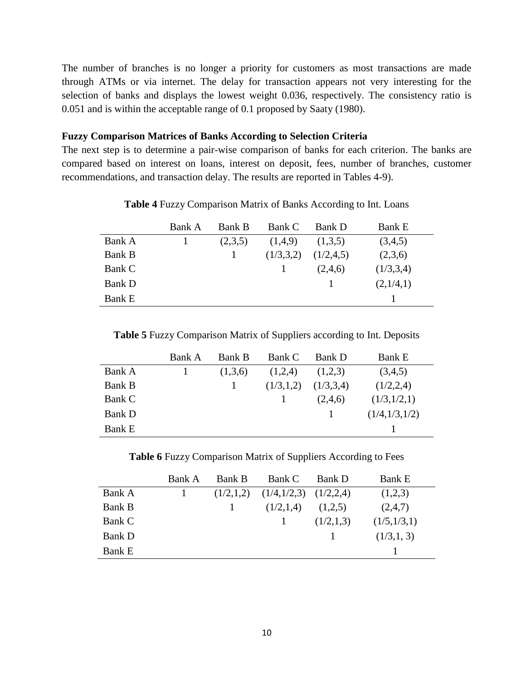The number of branches is no longer a priority for customers as most transactions are made through ATMs or via internet. The delay for transaction appears not very interesting for the selection of banks and displays the lowest weight 0.036, respectively. The consistency ratio is 0.051 and is within the acceptable range of 0.1 proposed by Saaty (1980).

#### **Fuzzy Comparison Matrices of Banks According to Selection Criteria**

The next step is to determine a pair-wise comparison of banks for each criterion. The banks are compared based on interest on loans, interest on deposit, fees, number of branches, customer recommendations, and transaction delay. The results are reported in Tables 4-9).

|               | Bank A | Bank B  | Bank C    | Bank D      | <b>Bank E</b> |
|---------------|--------|---------|-----------|-------------|---------------|
| Bank A        |        | (2,3,5) | (1,4,9)   | (1,3,5)     | (3,4,5)       |
| Bank B        |        |         | (1/3,3,2) | (1/2, 4, 5) | (2,3,6)       |
| Bank C        |        |         |           | (2,4,6)     | (1/3,3,4)     |
| <b>Bank D</b> |        |         |           |             | (2,1/4,1)     |
| <b>Bank E</b> |        |         |           |             |               |

**Table 4** Fuzzy Comparison Matrix of Banks According to Int. Loans

**Table 5** Fuzzy Comparison Matrix of Suppliers according to Int. Deposits

|               | Bank A | <b>Bank B</b> | Bank C    | Bank D    | <b>Bank E</b> |
|---------------|--------|---------------|-----------|-----------|---------------|
| Bank A        |        | (1,3,6)       | (1,2,4)   | (1,2,3)   | (3,4,5)       |
| Bank B        |        |               | (1/3,1,2) | (1/3,3,4) | (1/2,2,4)     |
| Bank C        |        |               |           | (2,4,6)   | (1/3,1/2,1)   |
| Bank D        |        |               |           |           | (1/4,1/3,1/2) |
| <b>Bank E</b> |        |               |           |           |               |

**Table 6** Fuzzy Comparison Matrix of Suppliers According to Fees

|               | Bank A | <b>Bank B</b> | Bank C                    | Bank D    | <b>Bank E</b> |
|---------------|--------|---------------|---------------------------|-----------|---------------|
| Bank A        |        | (1/2,1,2)     | $(1/4,1/2,3)$ $(1/2,2,4)$ |           | (1,2,3)       |
| Bank B        |        |               | (1/2,1,4)                 | (1,2,5)   | (2,4,7)       |
| Bank C        |        |               |                           | (1/2,1,3) | (1/5,1/3,1)   |
| Bank D        |        |               |                           |           | (1/3,1,3)     |
| <b>Bank E</b> |        |               |                           |           |               |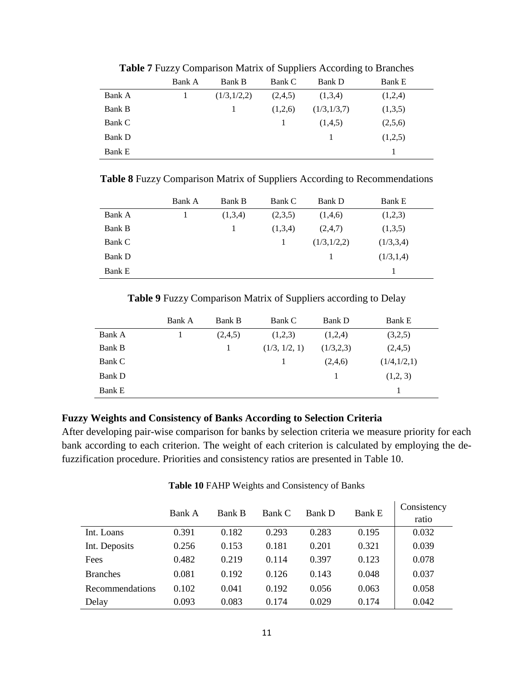|               | Bank A | Bank B      | Bank C  | Bank D      | <b>Bank E</b> |
|---------------|--------|-------------|---------|-------------|---------------|
| Bank A        |        | (1/3,1/2,2) | (2,4,5) | (1,3,4)     | (1,2,4)       |
| Bank B        |        |             | (1,2,6) | (1/3,1/3,7) | (1,3,5)       |
| Bank C        |        |             |         | (1,4,5)     | (2,5,6)       |
| <b>Bank D</b> |        |             |         |             | (1,2,5)       |
| <b>Bank E</b> |        |             |         |             |               |

**Table 7** Fuzzy Comparison Matrix of Suppliers According to Branches

**Table 8** Fuzzy Comparison Matrix of Suppliers According to Recommendations

|               | Bank A | Bank B  | Bank C  | <b>Bank D</b> | <b>Bank E</b> |
|---------------|--------|---------|---------|---------------|---------------|
| Bank A        |        | (1,3,4) | (2,3,5) | (1,4,6)       | (1,2,3)       |
| Bank B        |        |         | (1,3,4) | (2,4,7)       | (1,3,5)       |
| Bank C        |        |         |         | (1/3,1/2,2)   | (1/3,3,4)     |
| <b>Bank D</b> |        |         |         |               | (1/3,1,4)     |
| <b>Bank E</b> |        |         |         |               |               |

**Table 9** Fuzzy Comparison Matrix of Suppliers according to Delay

|               | Bank A | Bank B  | Bank C        | <b>Bank D</b> | <b>Bank E</b> |
|---------------|--------|---------|---------------|---------------|---------------|
| Bank A        |        | (2,4,5) | (1,2,3)       | (1,2,4)       | (3,2,5)       |
| Bank B        |        |         | (1/3, 1/2, 1) | (1/3,2,3)     | (2,4,5)       |
| Bank C        |        |         |               | (2,4,6)       | (1/4,1/2,1)   |
| Bank D        |        |         |               |               | (1,2,3)       |
| <b>Bank E</b> |        |         |               |               |               |

# **Fuzzy Weights and Consistency of Banks According to Selection Criteria**

After developing pair-wise comparison for banks by selection criteria we measure priority for each bank according to each criterion. The weight of each criterion is calculated by employing the defuzzification procedure. Priorities and consistency ratios are presented in Table 10.

|                 | Bank A | <b>Bank B</b> | Bank C | Bank D | <b>Bank E</b> | Consistency |
|-----------------|--------|---------------|--------|--------|---------------|-------------|
|                 |        |               |        |        |               | ratio       |
| Int. Loans      | 0.391  | 0.182         | 0.293  | 0.283  | 0.195         | 0.032       |
| Int. Deposits   | 0.256  | 0.153         | 0.181  | 0.201  | 0.321         | 0.039       |
| Fees            | 0.482  | 0.219         | 0.114  | 0.397  | 0.123         | 0.078       |
| <b>Branches</b> | 0.081  | 0.192         | 0.126  | 0.143  | 0.048         | 0.037       |
| Recommendations | 0.102  | 0.041         | 0.192  | 0.056  | 0.063         | 0.058       |
| Delay           | 0.093  | 0.083         | 0.174  | 0.029  | 0.174         | 0.042       |

**Table 10** FAHP Weights and Consistency of Banks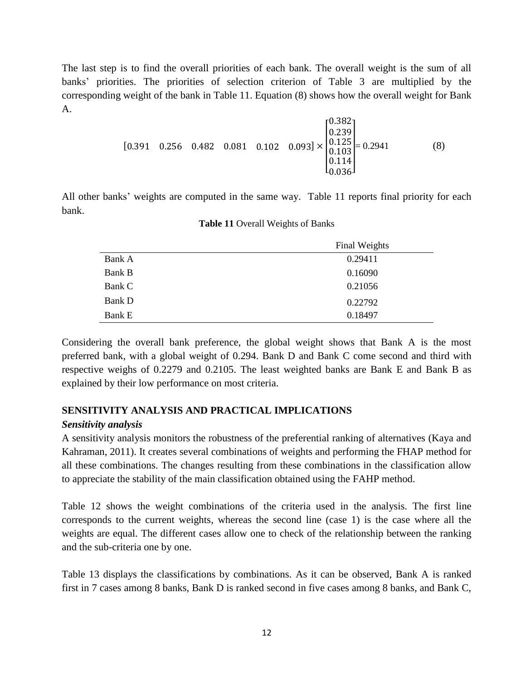The last step is to find the overall priorities of each bank. The overall weight is the sum of all banks' priorities. The priorities of selection criterion of Table 3 are multiplied by the corresponding weight of the bank in Table 11. Equation (8) shows how the overall weight for Bank A.

$$
\begin{bmatrix} 0.391 & 0.256 & 0.482 & 0.081 & 0.102 & 0.093 \end{bmatrix} \times \begin{bmatrix} 0.382 \\ 0.239 \\ 0.125 \\ 0.103 \\ 0.114 \\ 0.036 \end{bmatrix} = 0.2941
$$
 (8)

All other banks' weights are computed in the same way. Table 11 reports final priority for each bank.

|        | <b>Final Weights</b> |
|--------|----------------------|
| Bank A | 0.29411              |
| Bank B | 0.16090              |
| Bank C | 0.21056              |
| Bank D | 0.22792              |
| Bank E | 0.18497              |

#### **Table 11** Overall Weights of Banks

Considering the overall bank preference, the global weight shows that Bank A is the most preferred bank, with a global weight of 0.294. Bank D and Bank C come second and third with respective weighs of 0.2279 and 0.2105. The least weighted banks are Bank E and Bank B as explained by their low performance on most criteria.

## **SENSITIVITY ANALYSIS AND PRACTICAL IMPLICATIONS**

## *Sensitivity analysis*

A sensitivity analysis monitors the robustness of the preferential ranking of alternatives (Kaya and Kahraman, 2011). It creates several combinations of weights and performing the FHAP method for all these combinations. The changes resulting from these combinations in the classification allow to appreciate the stability of the main classification obtained using the FAHP method.

Table 12 shows the weight combinations of the criteria used in the analysis. The first line corresponds to the current weights, whereas the second line (case 1) is the case where all the weights are equal. The different cases allow one to check of the relationship between the ranking and the sub-criteria one by one.

Table 13 displays the classifications by combinations. As it can be observed, Bank A is ranked first in 7 cases among 8 banks, Bank D is ranked second in five cases among 8 banks, and Bank C,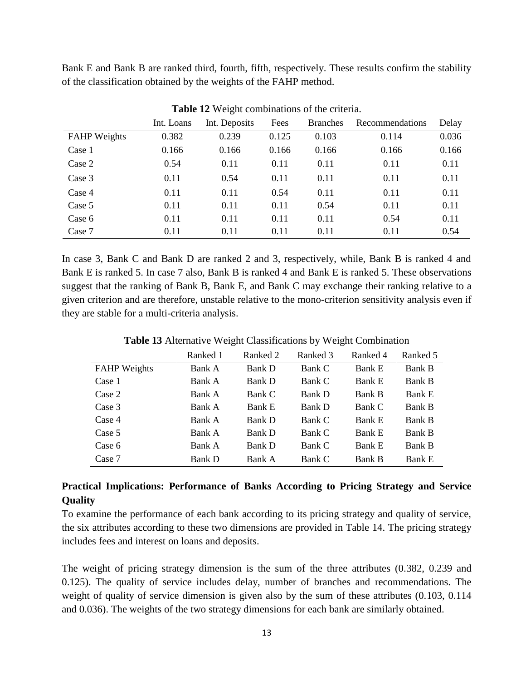Bank E and Bank B are ranked third, fourth, fifth, respectively. These results confirm the stability of the classification obtained by the weights of the FAHP method.

|                     | Int. Loans | Int. Deposits | Fees  | <b>Branches</b> | Recommendations | Delay |
|---------------------|------------|---------------|-------|-----------------|-----------------|-------|
| <b>FAHP</b> Weights | 0.382      | 0.239         | 0.125 | 0.103           | 0.114           | 0.036 |
| Case 1              | 0.166      | 0.166         | 0.166 | 0.166           | 0.166           | 0.166 |
| Case 2              | 0.54       | 0.11          | 0.11  | 0.11            | 0.11            | 0.11  |
| Case 3              | 0.11       | 0.54          | 0.11  | 0.11            | 0.11            | 0.11  |
| Case 4              | 0.11       | 0.11          | 0.54  | 0.11            | 0.11            | 0.11  |
| Case 5              | 0.11       | 0.11          | 0.11  | 0.54            | 0.11            | 0.11  |
| Case 6              | 0.11       | 0.11          | 0.11  | 0.11            | 0.54            | 0.11  |
| Case 7              | 0.11       | 0.11          | 0.11  | 0.11            | 0.11            | 0.54  |

**Table 12** Weight combinations of the criteria.

In case 3, Bank C and Bank D are ranked 2 and 3, respectively, while, Bank B is ranked 4 and Bank E is ranked 5. In case 7 also, Bank B is ranked 4 and Bank E is ranked 5. These observations suggest that the ranking of Bank B, Bank E, and Bank C may exchange their ranking relative to a given criterion and are therefore, unstable relative to the mono-criterion sensitivity analysis even if they are stable for a multi-criteria analysis.

|                     | Ranked 1      | Ranked 2 | Ranked 3 | Ranked 4      | Ranked 5      |
|---------------------|---------------|----------|----------|---------------|---------------|
| <b>FAHP</b> Weights | Bank A        | Bank D   | Bank C   | <b>Bank E</b> | <b>Bank B</b> |
| Case 1              | Bank A        | Bank D   | Bank C   | <b>Bank E</b> | Bank B        |
| Case 2              | Bank A        | Bank C   | Bank D   | <b>Bank B</b> | <b>Bank E</b> |
| Case 3              | Bank A        | Bank E   | Bank D   | Bank C        | <b>Bank B</b> |
| Case 4              | Bank A        | Bank D   | Bank C   | <b>Bank E</b> | <b>Bank B</b> |
| Case 5              | Bank A        | Bank D   | Bank C   | <b>Bank E</b> | Bank B        |
| Case 6              | Bank A        | Bank D   | Bank C   | <b>Bank E</b> | Bank B        |
| Case 7              | <b>Bank D</b> | Bank A   | Bank C   | Bank B        | <b>Bank E</b> |

**Table 13** Alternative Weight Classifications by Weight Combination

# **Practical Implications: Performance of Banks According to Pricing Strategy and Service Quality**

To examine the performance of each bank according to its pricing strategy and quality of service, the six attributes according to these two dimensions are provided in Table 14. The pricing strategy includes fees and interest on loans and deposits.

The weight of pricing strategy dimension is the sum of the three attributes (0.382, 0.239 and 0.125). The quality of service includes delay, number of branches and recommendations. The weight of quality of service dimension is given also by the sum of these attributes (0.103, 0.114 and 0.036). The weights of the two strategy dimensions for each bank are similarly obtained.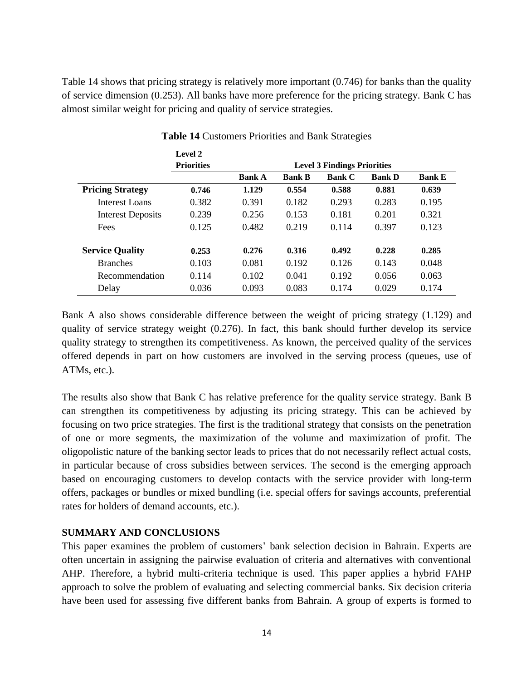Table 14 shows that pricing strategy is relatively more important (0.746) for banks than the quality of service dimension (0.253). All banks have more preference for the pricing strategy. Bank C has almost similar weight for pricing and quality of service strategies.

|                          | Level 2           |                                    |               |               |               |               |  |  |
|--------------------------|-------------------|------------------------------------|---------------|---------------|---------------|---------------|--|--|
|                          | <b>Priorities</b> | <b>Level 3 Findings Priorities</b> |               |               |               |               |  |  |
|                          |                   | <b>Bank A</b>                      | <b>Bank B</b> | <b>Bank C</b> | <b>Bank D</b> | <b>Bank E</b> |  |  |
| <b>Pricing Strategy</b>  | 0.746             | 1.129                              | 0.554         | 0.588         | 0.881         | 0.639         |  |  |
| Interest Loans           | 0.382             | 0.391                              | 0.182         | 0.293         | 0.283         | 0.195         |  |  |
| <b>Interest Deposits</b> | 0.239             | 0.256                              | 0.153         | 0.181         | 0.201         | 0.321         |  |  |
| Fees                     | 0.125             | 0.482                              | 0.219         | 0.114         | 0.397         | 0.123         |  |  |
| <b>Service Quality</b>   | 0.253             | 0.276                              | 0.316         | 0.492         | 0.228         | 0.285         |  |  |
| <b>Branches</b>          | 0.103             | 0.081                              | 0.192         | 0.126         | 0.143         | 0.048         |  |  |
| Recommendation           | 0.114             | 0.102                              | 0.041         | 0.192         | 0.056         | 0.063         |  |  |
| Delay                    | 0.036             | 0.093                              | 0.083         | 0.174         | 0.029         | 0.174         |  |  |

#### **Table 14** Customers Priorities and Bank Strategies

Bank A also shows considerable difference between the weight of pricing strategy (1.129) and quality of service strategy weight (0.276). In fact, this bank should further develop its service quality strategy to strengthen its competitiveness. As known, the perceived quality of the services offered depends in part on how customers are involved in the serving process (queues, use of ATMs, etc.).

The results also show that Bank C has relative preference for the quality service strategy. Bank B can strengthen its competitiveness by adjusting its pricing strategy. This can be achieved by focusing on two price strategies. The first is the traditional strategy that consists on the penetration of one or more segments, the maximization of the volume and maximization of profit. The oligopolistic nature of the banking sector leads to prices that do not necessarily reflect actual costs, in particular because of cross subsidies between services. The second is the emerging approach based on encouraging customers to develop contacts with the service provider with long-term offers, packages or bundles or mixed bundling (i.e. special offers for savings accounts, preferential rates for holders of demand accounts, etc.).

## **SUMMARY AND CONCLUSIONS**

This paper examines the problem of customers' bank selection decision in Bahrain. Experts are often uncertain in assigning the pairwise evaluation of criteria and alternatives with conventional AHP. Therefore, a hybrid multi-criteria technique is used. This paper applies a hybrid FAHP approach to solve the problem of evaluating and selecting commercial banks. Six decision criteria have been used for assessing five different banks from Bahrain. A group of experts is formed to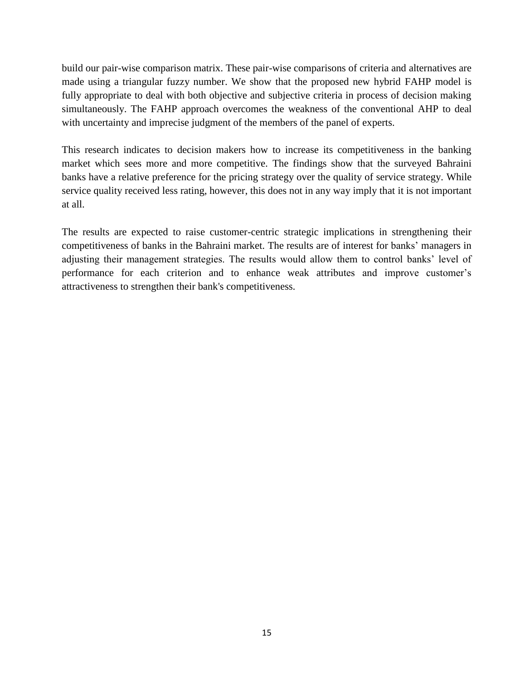build our pair-wise comparison matrix. These pair-wise comparisons of criteria and alternatives are made using a triangular fuzzy number. We show that the proposed new hybrid FAHP model is fully appropriate to deal with both objective and subjective criteria in process of decision making simultaneously. The FAHP approach overcomes the weakness of the conventional AHP to deal with uncertainty and imprecise judgment of the members of the panel of experts.

This research indicates to decision makers how to increase its competitiveness in the banking market which sees more and more competitive. The findings show that the surveyed Bahraini banks have a relative preference for the pricing strategy over the quality of service strategy. While service quality received less rating, however, this does not in any way imply that it is not important at all.

The results are expected to raise customer-centric strategic implications in strengthening their competitiveness of banks in the Bahraini market. The results are of interest for banks' managers in adjusting their management strategies. The results would allow them to control banks' level of performance for each criterion and to enhance weak attributes and improve customer's attractiveness to strengthen their bank's competitiveness.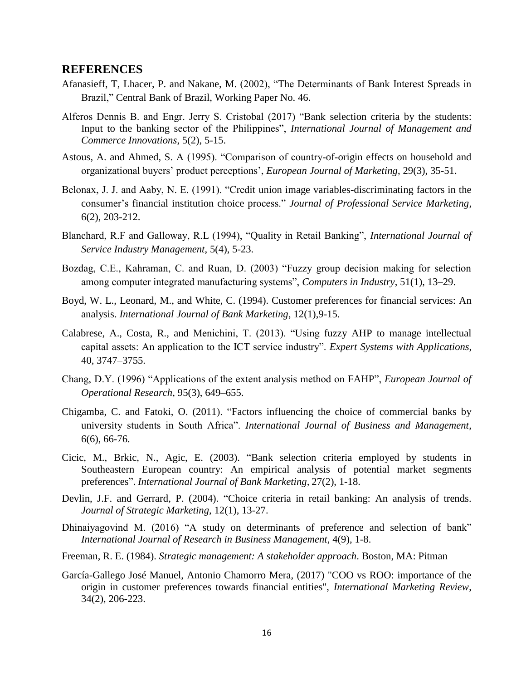#### **REFERENCES**

- Afanasieff, T, Lhacer, P. and Nakane, M. (2002), "The Determinants of Bank Interest Spreads in Brazil," Central Bank of Brazil, Working Paper No. 46.
- Alferos Dennis B. and Engr. Jerry S. Cristobal (2017) "Bank selection criteria by the students: Input to the banking sector of the Philippines", *International Journal of Management and Commerce Innovations*, 5(2), 5-15.
- Astous, A. and Ahmed, S. A (1995). "Comparison of country-of-origin effects on household and organizational buyers' product perceptions', *European Journal of Marketing*, 29(3), 35-51.
- Belonax, J. J. and Aaby, N. E. (1991). "Credit union image variables-discriminating factors in the consumer's financial institution choice process." *Journal of Professional Service Marketing*, 6(2), 203-212.
- Blanchard, R.F and Galloway, R.L (1994), "Quality in Retail Banking", *International Journal of Service Industry Management*, 5(4), 5-23.
- Bozdag, C.E., Kahraman, C. and Ruan, D. (2003) "Fuzzy group decision making for selection among computer integrated manufacturing systems", *Computers in Industry*, 51(1), 13–29.
- Boyd, W. L., Leonard, M., and White, C. (1994). Customer preferences for financial services: An analysis. *International Journal of Bank Marketing*, 12(1),9-15.
- Calabrese, A., Costa, R., and Menichini, T. (2013). "Using fuzzy AHP to manage intellectual capital assets: An application to the ICT service industry". *Expert Systems with Applications*, 40, 3747–3755.
- Chang, D.Y. (1996) "Applications of the extent analysis method on FAHP", *European Journal of Operational Research*, 95(3), 649–655.
- Chigamba, C. and Fatoki, O. (2011). "Factors influencing the choice of commercial banks by university students in South Africa". *International Journal of Business and Management*, 6(6), 66-76.
- Cicic, M., Brkic, N., Agic, E. (2003). "Bank selection criteria employed by students in Southeastern European country: An empirical analysis of potential market segments preferences". *International Journal of Bank Marketing,* 27(2), 1-18.
- Devlin, J.F. and Gerrard, P. (2004). "Choice criteria in retail banking: An analysis of trends. *Journal of Strategic Marketing*, 12(1), 13-27.
- Dhinaiyagovind M. (2016) "A study on determinants of preference and selection of bank" *International Journal of Research in Business Management*, 4(9), 1-8.
- Freeman, R. E. (1984). *Strategic management: A stakeholder approach*. Boston, MA: Pitman
- García-Gallego José Manuel, Antonio Chamorro Mera, (2017) "COO vs ROO: importance of the origin in customer preferences towards financial entities", *International Marketing Review*, 34(2), 206-223.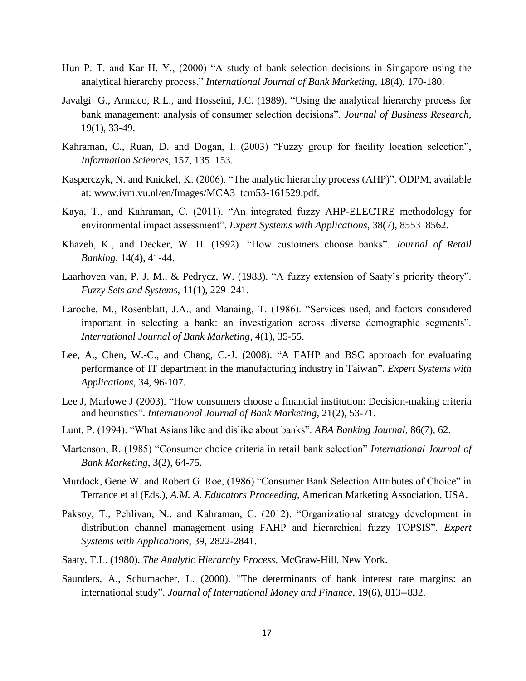- Hun P. T. and Kar H. Y., (2000) "A study of bank selection decisions in Singapore using the analytical hierarchy process," *International Journal of Bank Marketing*, 18(4), 170-180.
- [Javalgi](http://www.sciencedirect.com/science/article/pii/0148296389900398) G., Armaco, R.L., and Hosseini, J.C. (1989). "Using the analytical hierarchy process for bank management: analysis of consumer selection decisions". *Journal of Business Research*, 19(1), 33-49.
- Kahraman, C., Ruan, D. and Dogan, I. (2003) "Fuzzy group for facility location selection", *Information Sciences*, 157, 135–153.
- Kasperczyk, N. and Knickel, K. (2006). "The analytic hierarchy process (AHP)". ODPM, available at: www.ivm.vu.nl/en/Images/MCA3\_tcm53-161529.pdf.
- Kaya, T., and Kahraman, C. (2011). "An integrated fuzzy AHP-ELECTRE methodology for environmental impact assessment". *Expert Systems with Applications*, 38(7), 8553–8562.
- Khazeh, K., and Decker, W. H. (1992). "How customers choose banks". *Journal of Retail Banking*, 14(4), 41-44.
- Laarhoven van, P. J. M., & Pedrycz, W. (1983). "A fuzzy extension of Saaty's priority theory". *Fuzzy Sets and Systems*, 11(1), 229–241.
- Laroche, M., Rosenblatt, J.A., and Manaing, T. (1986). "Services used, and factors considered important in selecting a bank: an investigation across diverse demographic segments". *International Journal of Bank Marketing*, 4(1), 35-55.
- Lee, A., Chen, W.-C., and Chang, C.-J. (2008). "A FAHP and BSC approach for evaluating performance of IT department in the manufacturing industry in Taiwan". *Expert Systems with Applications*, 34, 96-107.
- Lee J, Marlowe J (2003). "How consumers choose a financial institution: Decision-making criteria and heuristics". *International Journal of Bank Marketing,* 21(2), 53-71.
- Lunt, P. (1994). "What Asians like and dislike about banks". *ABA Banking Journal*, 86(7), 62.
- Martenson, R. (1985) "Consumer choice criteria in retail bank selection" *International Journal of Bank Marketing*, 3(2), 64-75.
- Murdock, Gene W. and Robert G. Roe, (1986) "Consumer Bank Selection Attributes of Choice" in Terrance et al (Eds.), *A.M. A. Educators Proceeding*, American Marketing Association, USA.
- Paksoy, T., Pehlivan, N., and Kahraman, C. (2012). "Organizational strategy development in distribution channel management using FAHP and hierarchical fuzzy TOPSIS". *Expert Systems with Applications*, 39, 2822-2841.
- Saaty, T.L. (1980). *The Analytic Hierarchy Process*, McGraw-Hill, New York.
- Saunders, A., Schumacher, L. (2000). "The determinants of bank interest rate margins: an international study"*. Journal of International Money and Finance,* 19(6), 813--832.